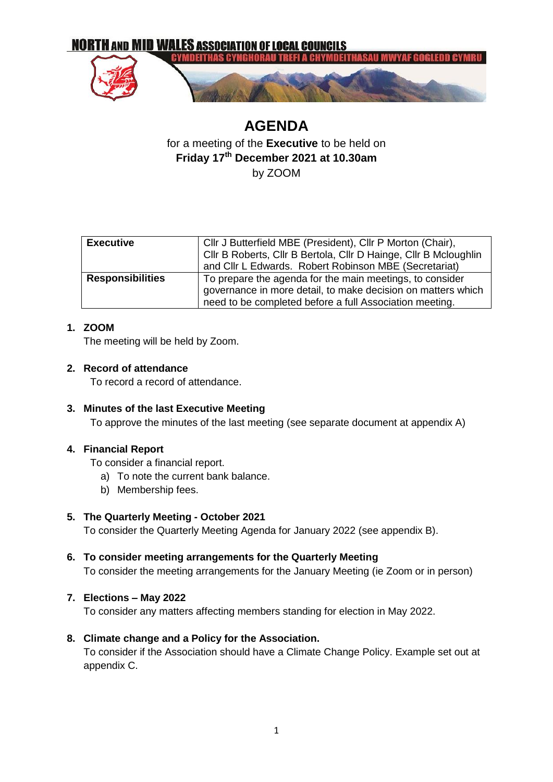

# **AGENDA** for a meeting of the **Executive** to be held on **Friday 17th December 2021 at 10.30am** by ZOOM

| <b>Executive</b>        | Cllr J Butterfield MBE (President), Cllr P Morton (Chair),       |  |  |
|-------------------------|------------------------------------------------------------------|--|--|
|                         | Cllr B Roberts, Cllr B Bertola, Cllr D Hainge, Cllr B Mcloughlin |  |  |
|                         |                                                                  |  |  |
|                         | and Cllr L Edwards. Robert Robinson MBE (Secretariat)            |  |  |
| <b>Responsibilities</b> | To prepare the agenda for the main meetings, to consider         |  |  |
|                         | governance in more detail, to make decision on matters which     |  |  |
|                         | need to be completed before a full Association meeting.          |  |  |

### **1. ZOOM**

The meeting will be held by Zoom.

### **2. Record of attendance**

To record a record of attendance.

### **3. Minutes of the last Executive Meeting**

To approve the minutes of the last meeting (see separate document at appendix A)

### **4. Financial Report**

To consider a financial report.

- a) To note the current bank balance.
- b) Membership fees.

### **5. The Quarterly Meeting - October 2021**

To consider the Quarterly Meeting Agenda for January 2022 (see appendix B).

**6. To consider meeting arrangements for the Quarterly Meeting** To consider the meeting arrangements for the January Meeting (ie Zoom or in person)

### **7. Elections – May 2022**

To consider any matters affecting members standing for election in May 2022.

### **8. Climate change and a Policy for the Association.**

To consider if the Association should have a Climate Change Policy. Example set out at appendix C.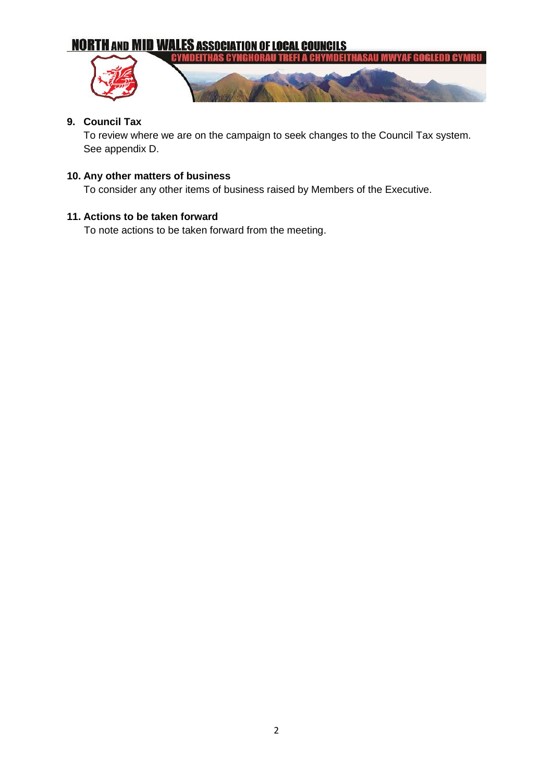# **NORTH AND MID WALES ASSOCIATION OF LOCAL COUNCILS**



### **9. Council Tax**

To review where we are on the campaign to seek changes to the Council Tax system. See appendix D.

# **10. Any other matters of business**

To consider any other items of business raised by Members of the Executive.

### **11. Actions to be taken forward**

To note actions to be taken forward from the meeting.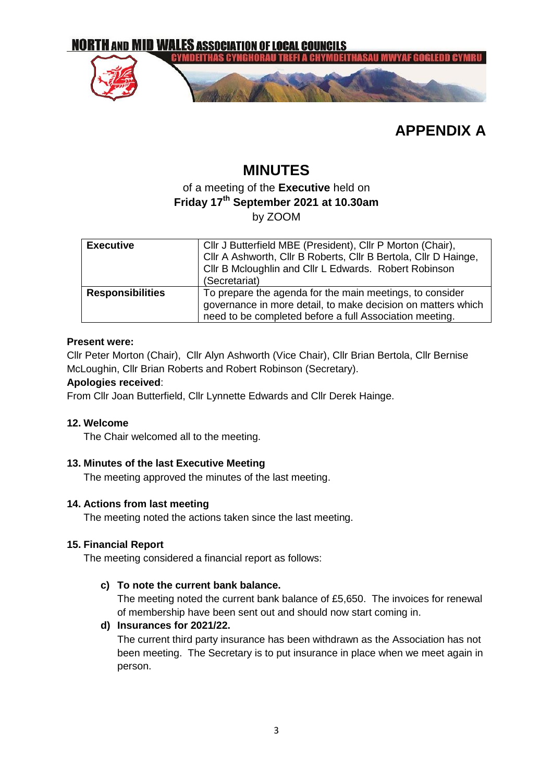

**APPENDIX A**

# **MINUTES**

# of a meeting of the **Executive** held on **Friday 17th September 2021 at 10.30am** by ZOOM

| <b>Executive</b>        | Cllr J Butterfield MBE (President), Cllr P Morton (Chair),<br>Cllr A Ashworth, Cllr B Roberts, Cllr B Bertola, Cllr D Hainge,<br>Cllr B Mcloughlin and Cllr L Edwards. Robert Robinson<br>(Secretariat) |  |
|-------------------------|---------------------------------------------------------------------------------------------------------------------------------------------------------------------------------------------------------|--|
| <b>Responsibilities</b> | To prepare the agenda for the main meetings, to consider<br>governance in more detail, to make decision on matters which<br>need to be completed before a full Association meeting.                     |  |

### **Present were:**

Cllr Peter Morton (Chair), Cllr Alyn Ashworth (Vice Chair), Cllr Brian Bertola, Cllr Bernise McLoughin, Cllr Brian Roberts and Robert Robinson (Secretary).

### **Apologies received**:

From Cllr Joan Butterfield, Cllr Lynnette Edwards and Cllr Derek Hainge.

### **12. Welcome**

The Chair welcomed all to the meeting.

### **13. Minutes of the last Executive Meeting**

The meeting approved the minutes of the last meeting.

### **14. Actions from last meeting**

The meeting noted the actions taken since the last meeting.

### **15. Financial Report**

The meeting considered a financial report as follows:

### **c) To note the current bank balance.**

The meeting noted the current bank balance of £5,650. The invoices for renewal of membership have been sent out and should now start coming in.

### **d) Insurances for 2021/22.**

The current third party insurance has been withdrawn as the Association has not been meeting. The Secretary is to put insurance in place when we meet again in person.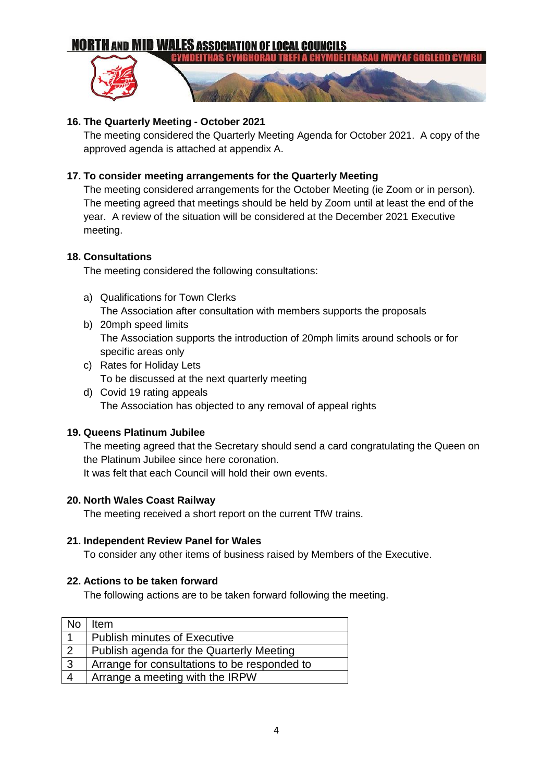# **NORTH AND MID WALES ASSOCIATION OF LOCAL COUNCILS**



### **16. The Quarterly Meeting - October 2021**

The meeting considered the Quarterly Meeting Agenda for October 2021. A copy of the approved agenda is attached at appendix A.

### **17. To consider meeting arrangements for the Quarterly Meeting**

The meeting considered arrangements for the October Meeting (ie Zoom or in person). The meeting agreed that meetings should be held by Zoom until at least the end of the year. A review of the situation will be considered at the December 2021 Executive meeting.

### **18. Consultations**

The meeting considered the following consultations:

- a) Qualifications for Town Clerks The Association after consultation with members supports the proposals
- b) 20mph speed limits The Association supports the introduction of 20mph limits around schools or for specific areas only
- c) Rates for Holiday Lets To be discussed at the next quarterly meeting
- d) Covid 19 rating appeals The Association has objected to any removal of appeal rights

### **19. Queens Platinum Jubilee**

The meeting agreed that the Secretary should send a card congratulating the Queen on the Platinum Jubilee since here coronation. It was felt that each Council will hold their own events.

### **20. North Wales Coast Railway**

The meeting received a short report on the current TfW trains.

### **21. Independent Review Panel for Wales**

To consider any other items of business raised by Members of the Executive.

### **22. Actions to be taken forward**

The following actions are to be taken forward following the meeting.

| <b>No</b>      | ltem                                         |
|----------------|----------------------------------------------|
|                | <b>Publish minutes of Executive</b>          |
| $\overline{2}$ | Publish agenda for the Quarterly Meeting     |
| $\mathbf{3}$   | Arrange for consultations to be responded to |
| $\overline{4}$ | Arrange a meeting with the IRPW              |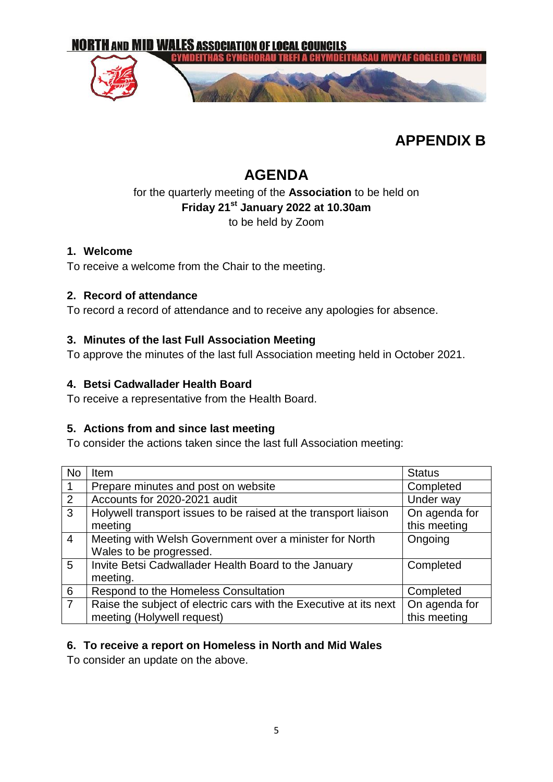

# **APPENDIX B**

# **AGENDA**

# for the quarterly meeting of the **Association** to be held on **Friday 21st January 2022 at 10.30am** to be held by Zoom

# **1. Welcome**

To receive a welcome from the Chair to the meeting.

# **2. Record of attendance**

To record a record of attendance and to receive any apologies for absence.

# **3. Minutes of the last Full Association Meeting**

To approve the minutes of the last full Association meeting held in October 2021.

# **4. Betsi Cadwallader Health Board**

To receive a representative from the Health Board.

# **5. Actions from and since last meeting**

To consider the actions taken since the last full Association meeting:

| <b>No</b>      | Item                                                              | <b>Status</b> |
|----------------|-------------------------------------------------------------------|---------------|
| $\mathbf{1}$   | Prepare minutes and post on website                               | Completed     |
| $\overline{2}$ | Accounts for 2020-2021 audit                                      | Under way     |
| $\overline{3}$ | Holywell transport issues to be raised at the transport liaison   | On agenda for |
|                | meeting                                                           | this meeting  |
| $\overline{4}$ | Meeting with Welsh Government over a minister for North           | Ongoing       |
|                | Wales to be progressed.                                           |               |
| 5              | Invite Betsi Cadwallader Health Board to the January              | Completed     |
|                | meeting.                                                          |               |
| $\overline{6}$ | Respond to the Homeless Consultation                              | Completed     |
| $\overline{7}$ | Raise the subject of electric cars with the Executive at its next | On agenda for |
|                | meeting (Holywell request)                                        | this meeting  |

# **6. To receive a report on Homeless in North and Mid Wales**

To consider an update on the above.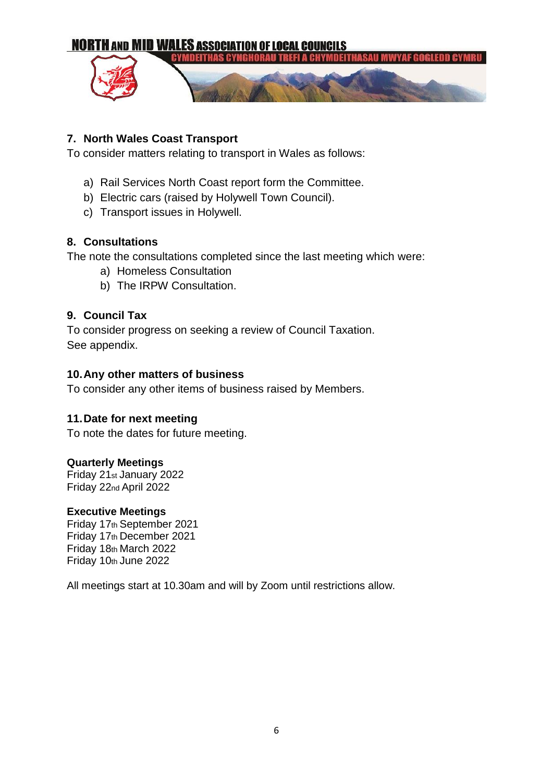

# **7. North Wales Coast Transport**

To consider matters relating to transport in Wales as follows:

- a) Rail Services North Coast report form the Committee.
- b) Electric cars (raised by Holywell Town Council).
- c) Transport issues in Holywell.

# **8. Consultations**

The note the consultations completed since the last meeting which were:

- a) Homeless Consultation
- b) The IRPW Consultation.

# **9. Council Tax**

To consider progress on seeking a review of Council Taxation. See appendix.

## **10.Any other matters of business**

To consider any other items of business raised by Members.

### **11.Date for next meeting**

To note the dates for future meeting.

### **Quarterly Meetings**

Friday 21st January 2022 Friday 22nd April 2022

### **Executive Meetings**

Friday 17th September 2021 Friday 17th December 2021 Friday 18th March 2022 Friday 10th June 2022

All meetings start at 10.30am and will by Zoom until restrictions allow.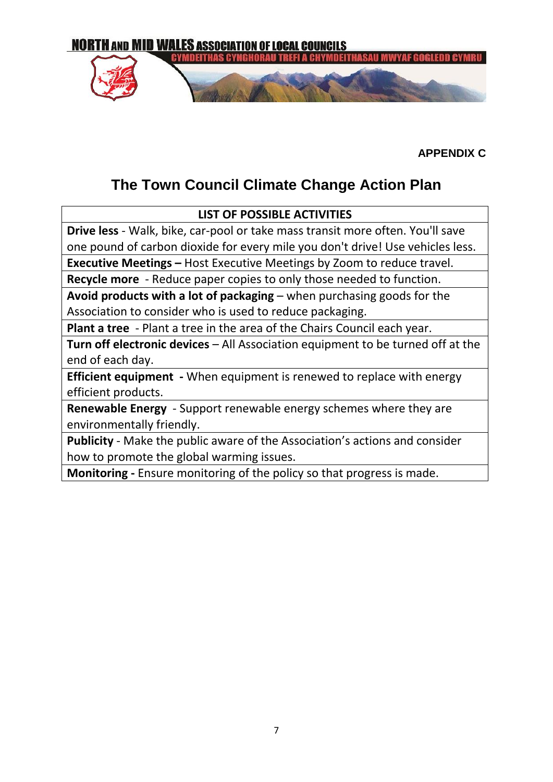

**APPENDIX C**

# **The Town Council Climate Change Action Plan**

# **LIST OF POSSIBLE ACTIVITIES**

**Drive less** - Walk, bike, car-pool or take mass transit more often. You'll save one pound of carbon dioxide for every mile you don't drive! Use vehicles less.

**Executive Meetings –** Host Executive Meetings by Zoom to reduce travel.

**Recycle more** - Reduce paper copies to only those needed to function.

**Avoid products with a lot of packaging** – when purchasing goods for the Association to consider who is used to reduce packaging.

**Plant a tree** - Plant a tree in the area of the Chairs Council each year.

**Turn off electronic devices** – All Association equipment to be turned off at the end of each day.

**Efficient equipment -** When equipment is renewed to replace with energy efficient products.

**Renewable Energy** - Support renewable energy schemes where they are environmentally friendly.

**Publicity** - Make the public aware of the Association's actions and consider how to promote the global warming issues.

**Monitoring -** Ensure monitoring of the policy so that progress is made.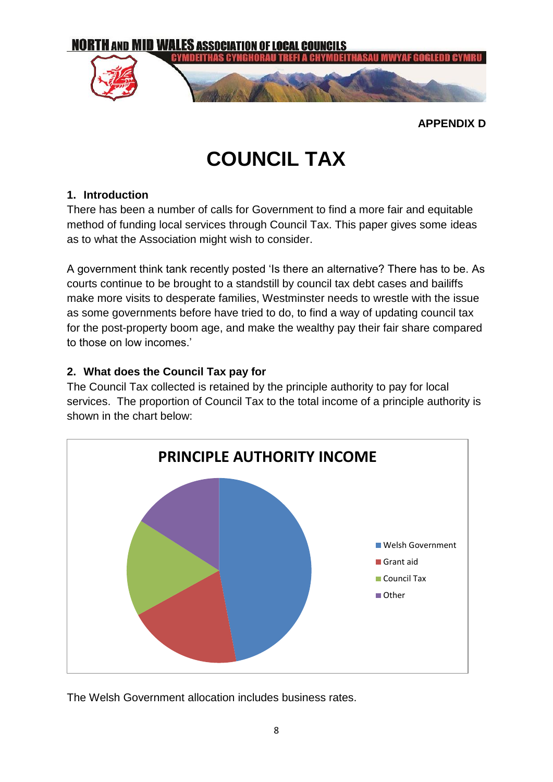

**APPENDIX D**

# **COUNCIL TAX**

# **1. Introduction**

There has been a number of calls for Government to find a more fair and equitable method of funding local services through Council Tax. This paper gives some ideas as to what the Association might wish to consider.

A government think tank recently posted 'Is there an alternative? There has to be. As courts continue to be brought to a standstill by council tax debt cases and bailiffs make more visits to desperate families, Westminster needs to wrestle with the issue as some governments before have tried to do, to find a way of updating council tax for the post-property boom age, and make the wealthy pay their fair share compared to those on low incomes.'

# **2. What does the Council Tax pay for**

The Council Tax collected is retained by the principle authority to pay for local services. The proportion of Council Tax to the total income of a principle authority is shown in the chart below:



The Welsh Government allocation includes business rates.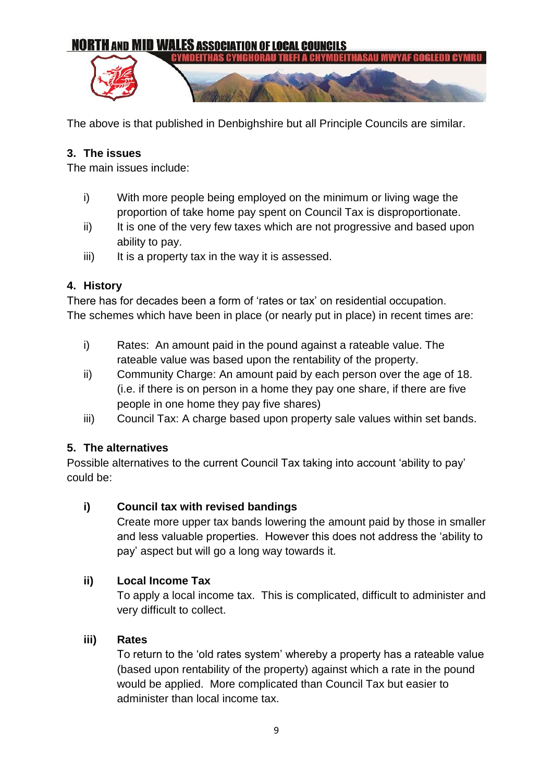

The above is that published in Denbighshire but all Principle Councils are similar.

# **3. The issues**

The main issues include:

- i) With more people being employed on the minimum or living wage the proportion of take home pay spent on Council Tax is disproportionate.
- ii) It is one of the very few taxes which are not progressive and based upon ability to pay.
- $iii)$  It is a property tax in the way it is assessed.

# **4. History**

There has for decades been a form of 'rates or tax' on residential occupation. The schemes which have been in place (or nearly put in place) in recent times are:

- i) Rates: An amount paid in the pound against a rateable value. The rateable value was based upon the rentability of the property.
- ii) Community Charge: An amount paid by each person over the age of 18. (i.e. if there is on person in a home they pay one share, if there are five people in one home they pay five shares)
- iii) Council Tax: A charge based upon property sale values within set bands.

# **5. The alternatives**

Possible alternatives to the current Council Tax taking into account 'ability to pay' could be:

# **i) Council tax with revised bandings**

Create more upper tax bands lowering the amount paid by those in smaller and less valuable properties. However this does not address the 'ability to pay' aspect but will go a long way towards it.

# **ii) Local Income Tax**

To apply a local income tax. This is complicated, difficult to administer and very difficult to collect.

# **iii) Rates**

To return to the 'old rates system' whereby a property has a rateable value (based upon rentability of the property) against which a rate in the pound would be applied. More complicated than Council Tax but easier to administer than local income tax.